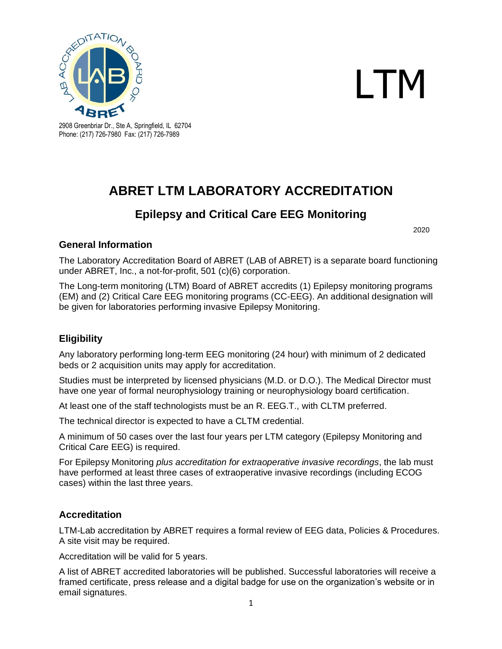



2908 Greenbriar Dr., Ste A, Springfield, IL 62704 Phone: (217) 726-7980 Fax: (217) 726-7989

# **ABRET LTM LABORATORY ACCREDITATION**

## **Epilepsy and Critical Care EEG Monitoring**

2020

#### **General Information**

The Laboratory Accreditation Board of ABRET (LAB of ABRET) is a separate board functioning under ABRET, Inc., a not-for-profit, 501 (c)(6) corporation.

The Long-term monitoring (LTM) Board of ABRET accredits (1) Epilepsy monitoring programs (EM) and (2) Critical Care EEG monitoring programs (CC-EEG). An additional designation will be given for laboratories performing invasive Epilepsy Monitoring.

### **Eligibility**

Any laboratory performing long-term EEG monitoring (24 hour) with minimum of 2 dedicated beds or 2 acquisition units may apply for accreditation.

Studies must be interpreted by licensed physicians (M.D. or D.O.). The Medical Director must have one year of formal neurophysiology training or neurophysiology board certification.

At least one of the staff technologists must be an R. EEG.T., with CLTM preferred.

The technical director is expected to have a CLTM credential.

A minimum of 50 cases over the last four years per LTM category (Epilepsy Monitoring and Critical Care EEG) is required.

For Epilepsy Monitoring *plus accreditation for extraoperative invasive recordings*, the lab must have performed at least three cases of extraoperative invasive recordings (including ECOG cases) within the last three years.

#### **Accreditation**

LTM-Lab accreditation by ABRET requires a formal review of EEG data, Policies & Procedures. A site visit may be required.

Accreditation will be valid for 5 years.

A list of ABRET accredited laboratories will be published. Successful laboratories will receive a framed certificate, press release and a digital badge for use on the organization's website or in email signatures.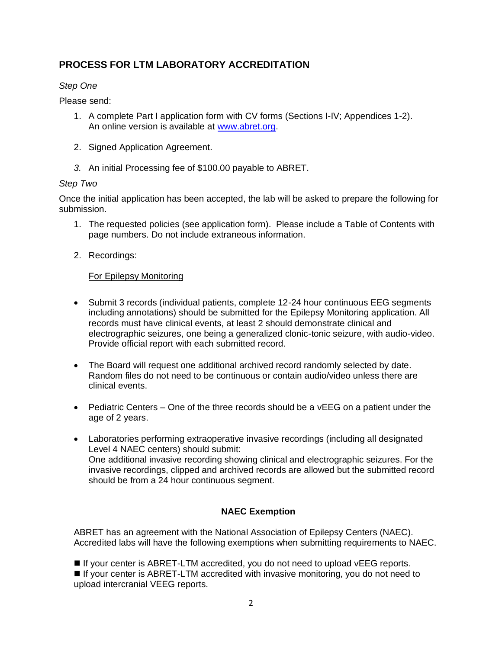## **PROCESS FOR LTM LABORATORY ACCREDITATION**

#### *Step One*

Please send:

- 1. A complete Part I application form with CV forms (Sections I-IV; Appendices 1-2). An online version is available at [www.abret.org.](http://www.abret.org/)
- 2. Signed Application Agreement.
- *3.* An initial Processing fee of \$100.00 payable to ABRET.

#### *Step Two*

Once the initial application has been accepted, the lab will be asked to prepare the following for submission.

- 1. The requested policies (see application form). Please include a Table of Contents with page numbers. Do not include extraneous information.
- 2. Recordings:

#### For Epilepsy Monitoring

- Submit 3 records (individual patients, complete 12-24 hour continuous EEG segments including annotations) should be submitted for the Epilepsy Monitoring application. All records must have clinical events, at least 2 should demonstrate clinical and electrographic seizures, one being a generalized clonic-tonic seizure, with audio-video. Provide official report with each submitted record.
- The Board will request one additional archived record randomly selected by date. Random files do not need to be continuous or contain audio/video unless there are clinical events.
- Pediatric Centers One of the three records should be a vEEG on a patient under the age of 2 years.
- Laboratories performing extraoperative invasive recordings (including all designated Level 4 NAEC centers) should submit: One additional invasive recording showing clinical and electrographic seizures. For the invasive recordings, clipped and archived records are allowed but the submitted record should be from a 24 hour continuous segment.

#### **NAEC Exemption**

ABRET has an agreement with the National Association of Epilepsy Centers (NAEC). Accredited labs will have the following exemptions when submitting requirements to NAEC.

■ If your center is ABRET-LTM accredited, you do not need to upload vEEG reports.

■ If your center is ABRET-LTM accredited with invasive monitoring, you do not need to upload intercranial VEEG reports.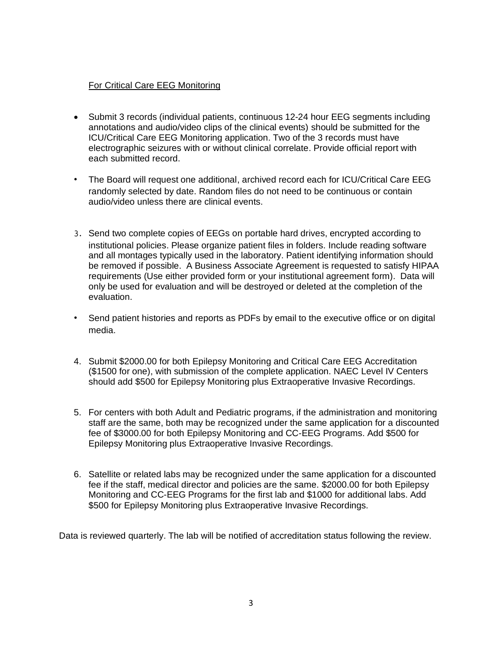#### For Critical Care EEG Monitoring

- Submit 3 records (individual patients, continuous 12-24 hour EEG segments including annotations and audio/video clips of the clinical events) should be submitted for the ICU/Critical Care EEG Monitoring application. Two of the 3 records must have electrographic seizures with or without clinical correlate. Provide official report with each submitted record.
- ∙ The Board will request one additional, archived record each for ICU/Critical Care EEG randomly selected by date. Random files do not need to be continuous or contain audio/video unless there are clinical events.
- 3. Send two complete copies of EEGs on portable hard drives, encrypted according to institutional policies. Please organize patient files in folders. Include reading software and all montages typically used in the laboratory. Patient identifying information should be removed if possible. A Business Associate Agreement is requested to satisfy HIPAA requirements (Use either provided form or your institutional agreement form). Data will only be used for evaluation and will be destroyed or deleted at the completion of the evaluation.
- ∙ Send patient histories and reports as PDFs by email to the executive office or on digital media.
- 4. Submit \$2000.00 for both Epilepsy Monitoring and Critical Care EEG Accreditation (\$1500 for one), with submission of the complete application. NAEC Level IV Centers should add \$500 for Epilepsy Monitoring plus Extraoperative Invasive Recordings.
- 5. For centers with both Adult and Pediatric programs, if the administration and monitoring staff are the same, both may be recognized under the same application for a discounted fee of \$3000.00 for both Epilepsy Monitoring and CC-EEG Programs. Add \$500 for Epilepsy Monitoring plus Extraoperative Invasive Recordings.
- 6. Satellite or related labs may be recognized under the same application for a discounted fee if the staff, medical director and policies are the same. \$2000.00 for both Epilepsy Monitoring and CC-EEG Programs for the first lab and \$1000 for additional labs. Add \$500 for Epilepsy Monitoring plus Extraoperative Invasive Recordings.

Data is reviewed quarterly. The lab will be notified of accreditation status following the review.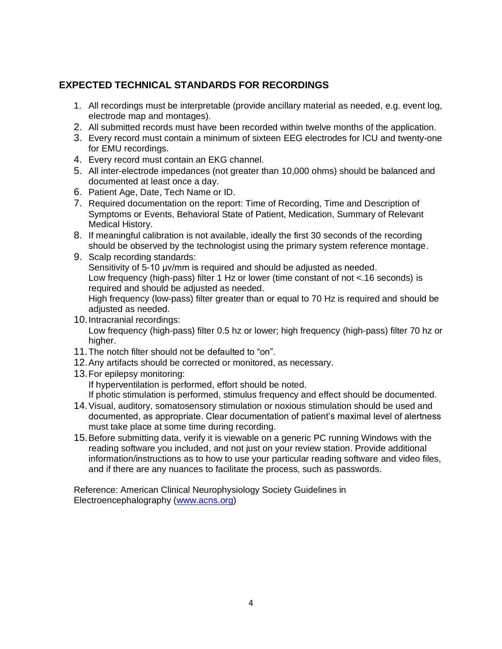## **EXPECTED TECHNICAL STANDARDS FOR RECORDINGS**

- 1. All recordings must be interpretable (provide ancillary material as needed, e.g. event log, electrode map and montages).
- 2. All submitted records must have been recorded within twelve months of the application.
- 3. Every record must contain a minimum of sixteen EEG electrodes for ICU and twenty-one for EMU recordings.
- 4. Every record must contain an EKG channel.
- 5. All inter-electrode impedances (not greater than 10,000 ohms) should be balanced and documented at least once a day.
- 6. Patient Age, Date, Tech Name or ID.
- 7. Required documentation on the report: Time of Recording, Time and Description of Symptoms or Events, Behavioral State of Patient, Medication, Summary of Relevant Medical History.
- 8. If meaningful calibration is not available, ideally the first 30 seconds of the recording should be observed by the technologist using the primary system reference montage.
- 9. Scalp recording standards: Sensitivity of 5-10 μv/mm is required and should be adjusted as needed. Low frequency (high-pass) filter 1 Hz or lower (time constant of not <.16 seconds) is required and should be adjusted as needed. High frequency (low-pass) filter greater than or equal to 70 Hz is required and should be adjusted as needed.
- 10.Intracranial recordings: Low frequency (high-pass) filter 0.5 hz or lower; high frequency (high-pass) filter 70 hz or higher.
- 11.The notch filter should not be defaulted to "on".
- 12.Any artifacts should be corrected or monitored, as necessary.
- 13.For epilepsy monitoring: If hyperventilation is performed, effort should be noted. If photic stimulation is performed, stimulus frequency and effect should be documented.
- 14.Visual, auditory, somatosensory stimulation or noxious stimulation should be used and documented, as appropriate. Clear documentation of patient's maximal level of alertness must take place at some time during recording.
- 15.Before submitting data, verify it is viewable on a generic PC running Windows with the reading software you included, and not just on your review station. Provide additional information/instructions as to how to use your particular reading software and video files, and if there are any nuances to facilitate the process, such as passwords.

Reference: American Clinical Neurophysiology Society Guidelines in Electroencephalography [\(www.acns.org\)](http://www.acns.org/)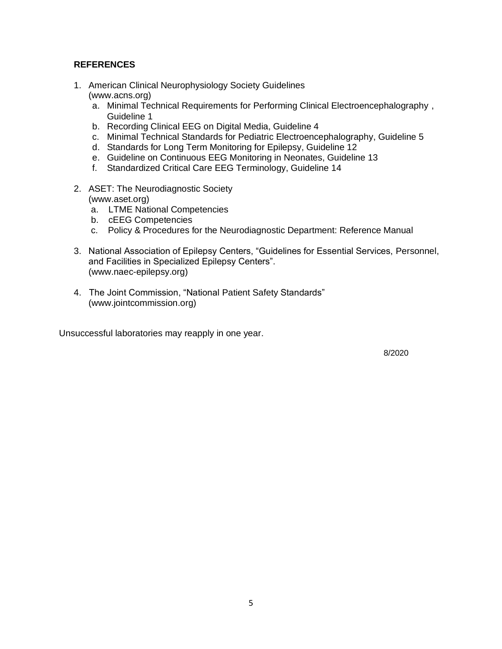#### **REFERENCES**

- 1. American Clinical Neurophysiology Society Guidelines (www.acns.org)
	- a. Minimal Technical Requirements for Performing Clinical Electroencephalography , Guideline 1
	- b. Recording Clinical EEG on Digital Media, Guideline 4
	- c. Minimal Technical Standards for Pediatric Electroencephalography, Guideline 5
	- d. Standards for Long Term Monitoring for Epilepsy, Guideline 12
	- e. Guideline on Continuous EEG Monitoring in Neonates, Guideline 13
	- f. Standardized Critical Care EEG Terminology, Guideline 14
- 2. ASET: The Neurodiagnostic Society (www.aset.org)
	- a. LTME National Competencies
	- b. cEEG Competencies
	- c. Policy & Procedures for the Neurodiagnostic Department: Reference Manual
- 3. National Association of Epilepsy Centers, "Guidelines for Essential Services, Personnel, and Facilities in Specialized Epilepsy Centers". (www.naec-epilepsy.org)
- 4. The Joint Commission, "National Patient Safety Standards" (www.jointcommission.org)

Unsuccessful laboratories may reapply in one year.

8/2020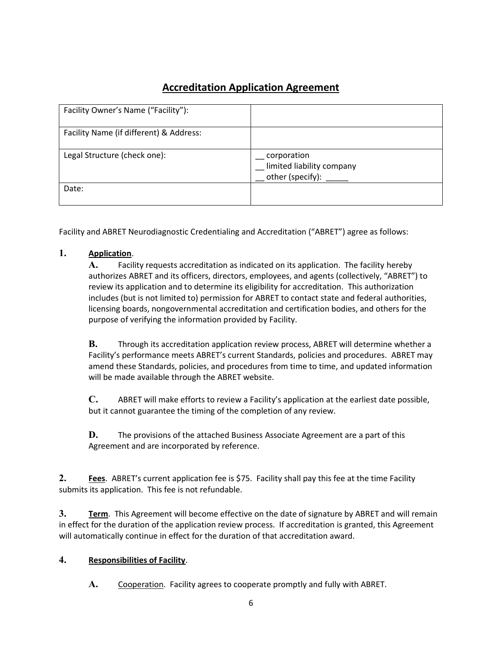## **Accreditation Application Agreement**

| Facility Owner's Name ("Facility"):     |                                                              |
|-----------------------------------------|--------------------------------------------------------------|
| Facility Name (if different) & Address: |                                                              |
| Legal Structure (check one):            | corporation<br>limited liability company<br>other (specify): |
| Date:                                   |                                                              |

Facility and ABRET Neurodiagnostic Credentialing and Accreditation ("ABRET") agree as follows:

#### **1. Application**.

**A.** Facility requests accreditation as indicated on its application. The facility hereby authorizes ABRET and its officers, directors, employees, and agents (collectively, "ABRET") to review its application and to determine its eligibility for accreditation. This authorization includes (but is not limited to) permission for ABRET to contact state and federal authorities, licensing boards, nongovernmental accreditation and certification bodies, and others for the purpose of verifying the information provided by Facility.

**B.** Through its accreditation application review process, ABRET will determine whether a Facility's performance meets ABRET's current Standards, policies and procedures. ABRET may amend these Standards, policies, and procedures from time to time, and updated information will be made available through the ABRET website.

**C.** ABRET will make efforts to review a Facility's application at the earliest date possible, but it cannot guarantee the timing of the completion of any review.

**D.** The provisions of the attached Business Associate Agreement are a part of this Agreement and are incorporated by reference.

**2. Fees**. ABRET's current application fee is \$75. Facility shall pay this fee at the time Facility submits its application. This fee is not refundable.

**3. Term**. This Agreement will become effective on the date of signature by ABRET and will remain in effect for the duration of the application review process. If accreditation is granted, this Agreement will automatically continue in effect for the duration of that accreditation award.

#### **4. Responsibilities of Facility**.

**A.** Cooperation. Facility agrees to cooperate promptly and fully with ABRET.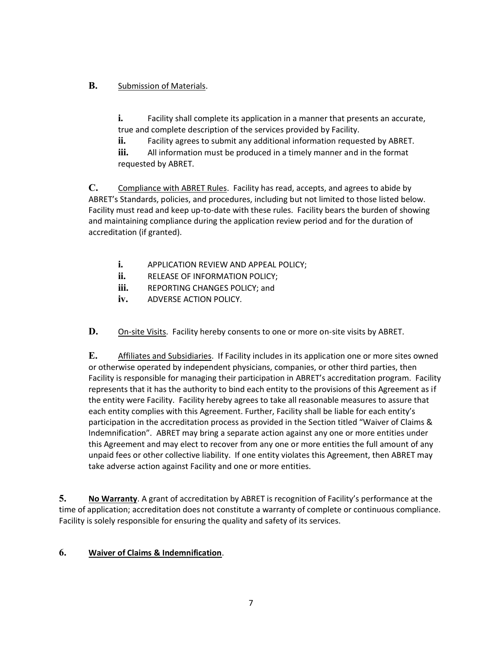#### **B.** Submission of Materials.

**i.** Facility shall complete its application in a manner that presents an accurate, true and complete description of the services provided by Facility.

**ii.** Facility agrees to submit any additional information requested by ABRET.

**iii.** All information must be produced in a timely manner and in the format requested by ABRET.

**C.** Compliance with ABRET Rules. Facility has read, accepts, and agrees to abide by ABRET's Standards, policies, and procedures, including but not limited to those listed below. Facility must read and keep up-to-date with these rules. Facility bears the burden of showing and maintaining compliance during the application review period and for the duration of accreditation (if granted).

- **i.** APPLICATION REVIEW AND APPEAL POLICY;
- **ii.** RELEASE OF INFORMATION POLICY;
- **iii.** REPORTING CHANGES POLICY; and
- **iv.** ADVERSE ACTION POLICY.

**D.** On-site Visits. Facility hereby consents to one or more on-site visits by ABRET.

**E.** Affiliates and Subsidiaries. If Facility includes in its application one or more sites owned or otherwise operated by independent physicians, companies, or other third parties, then Facility is responsible for managing their participation in ABRET's accreditation program. Facility represents that it has the authority to bind each entity to the provisions of this Agreement as if the entity were Facility. Facility hereby agrees to take all reasonable measures to assure that each entity complies with this Agreement. Further, Facility shall be liable for each entity's participation in the accreditation process as provided in the Section titled "Waiver of Claims & Indemnification". ABRET may bring a separate action against any one or more entities under this Agreement and may elect to recover from any one or more entities the full amount of any unpaid fees or other collective liability. If one entity violates this Agreement, then ABRET may take adverse action against Facility and one or more entities.

**5. No Warranty**. A grant of accreditation by ABRET is recognition of Facility's performance at the time of application; accreditation does not constitute a warranty of complete or continuous compliance. Facility is solely responsible for ensuring the quality and safety of its services.

#### **6. Waiver of Claims & Indemnification**.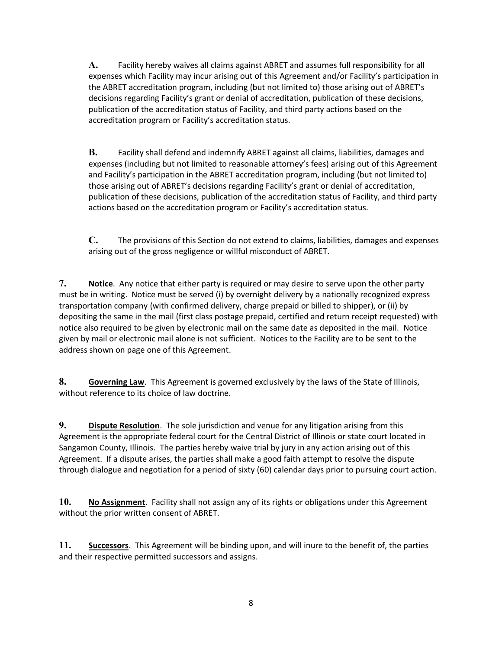**A.** Facility hereby waives all claims against ABRET and assumes full responsibility for all expenses which Facility may incur arising out of this Agreement and/or Facility's participation in the ABRET accreditation program, including (but not limited to) those arising out of ABRET's decisions regarding Facility's grant or denial of accreditation, publication of these decisions, publication of the accreditation status of Facility, and third party actions based on the accreditation program or Facility's accreditation status.

**B.** Facility shall defend and indemnify ABRET against all claims, liabilities, damages and expenses (including but not limited to reasonable attorney's fees) arising out of this Agreement and Facility's participation in the ABRET accreditation program, including (but not limited to) those arising out of ABRET's decisions regarding Facility's grant or denial of accreditation, publication of these decisions, publication of the accreditation status of Facility, and third party actions based on the accreditation program or Facility's accreditation status.

**C.** The provisions of this Section do not extend to claims, liabilities, damages and expenses arising out of the gross negligence or willful misconduct of ABRET.

**7. Notice**. Any notice that either party is required or may desire to serve upon the other party must be in writing. Notice must be served (i) by overnight delivery by a nationally recognized express transportation company (with confirmed delivery, charge prepaid or billed to shipper), or (ii) by depositing the same in the mail (first class postage prepaid, certified and return receipt requested) with notice also required to be given by electronic mail on the same date as deposited in the mail. Notice given by mail or electronic mail alone is not sufficient. Notices to the Facility are to be sent to the address shown on page one of this Agreement.

**8. Governing Law**. This Agreement is governed exclusively by the laws of the State of Illinois, without reference to its choice of law doctrine.

**9. Dispute Resolution**. The sole jurisdiction and venue for any litigation arising from this Agreement is the appropriate federal court for the Central District of Illinois or state court located in Sangamon County, Illinois. The parties hereby waive trial by jury in any action arising out of this Agreement. If a dispute arises, the parties shall make a good faith attempt to resolve the dispute through dialogue and negotiation for a period of sixty (60) calendar days prior to pursuing court action.

**10. No Assignment**. Facility shall not assign any of its rights or obligations under this Agreement without the prior written consent of ABRET.

**11. Successors**. This Agreement will be binding upon, and will inure to the benefit of, the parties and their respective permitted successors and assigns.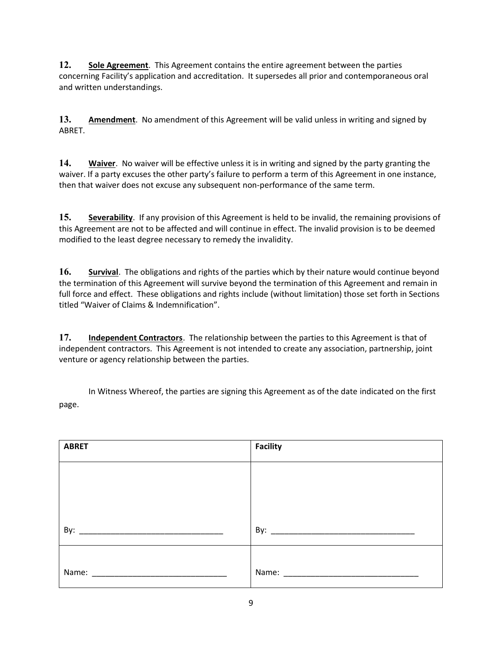**12. Sole Agreement**. This Agreement contains the entire agreement between the parties concerning Facility's application and accreditation. It supersedes all prior and contemporaneous oral and written understandings.

**13. Amendment**. No amendment of this Agreement will be valid unless in writing and signed by ABRET.

**14. Waiver**. No waiver will be effective unless it is in writing and signed by the party granting the waiver. If a party excuses the other party's failure to perform a term of this Agreement in one instance, then that waiver does not excuse any subsequent non-performance of the same term.

**15. Severability**. If any provision of this Agreement is held to be invalid, the remaining provisions of this Agreement are not to be affected and will continue in effect. The invalid provision is to be deemed modified to the least degree necessary to remedy the invalidity.

**16. Survival**. The obligations and rights of the parties which by their nature would continue beyond the termination of this Agreement will survive beyond the termination of this Agreement and remain in full force and effect. These obligations and rights include (without limitation) those set forth in Sections titled "Waiver of Claims & Indemnification".

**17. Independent Contractors**. The relationship between the parties to this Agreement is that of independent contractors. This Agreement is not intended to create any association, partnership, joint venture or agency relationship between the parties.

In Witness Whereof, the parties are signing this Agreement as of the date indicated on the first page.

| <b>ABRET</b> | <b>Facility</b>                              |
|--------------|----------------------------------------------|
|              |                                              |
|              |                                              |
|              |                                              |
| By:          |                                              |
|              |                                              |
| Name:        | Name:<br><u> 1980 - Jan Barbarat, manala</u> |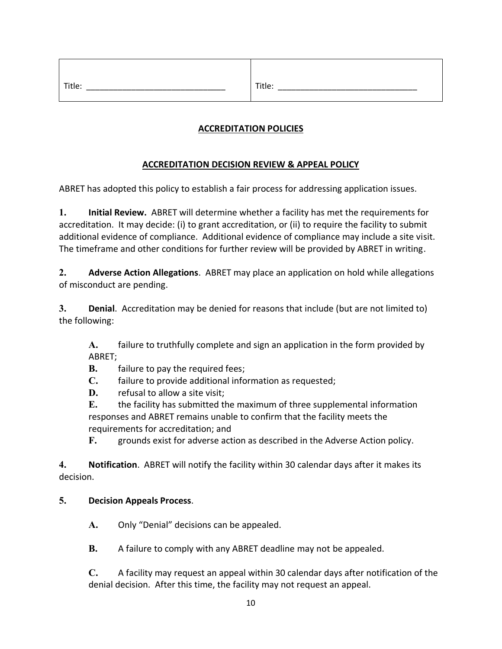| . . ule:       | TILIE.    |
|----------------|-----------|
| ______________ | _________ |

## **ACCREDITATION POLICIES**

#### **ACCREDITATION DECISION REVIEW & APPEAL POLICY**

ABRET has adopted this policy to establish a fair process for addressing application issues.

**1. Initial Review.** ABRET will determine whether a facility has met the requirements for accreditation. It may decide: (i) to grant accreditation, or (ii) to require the facility to submit additional evidence of compliance. Additional evidence of compliance may include a site visit. The timeframe and other conditions for further review will be provided by ABRET in writing.

**2. Adverse Action Allegations**. ABRET may place an application on hold while allegations of misconduct are pending.

**3. Denial**. Accreditation may be denied for reasons that include (but are not limited to) the following:

**A.** failure to truthfully complete and sign an application in the form provided by ABRET;

**B.** failure to pay the required fees;

**C.** failure to provide additional information as requested;

**D.** refusal to allow a site visit;

**E.** the facility has submitted the maximum of three supplemental information responses and ABRET remains unable to confirm that the facility meets the requirements for accreditation; and

**F.** grounds exist for adverse action as described in the Adverse Action policy.

**4. Notification**. ABRET will notify the facility within 30 calendar days after it makes its decision.

#### **5. Decision Appeals Process**.

**A.** Only "Denial" decisions can be appealed.

**B.** A failure to comply with any ABRET deadline may not be appealed.

**C.** A facility may request an appeal within 30 calendar days after notification of the denial decision. After this time, the facility may not request an appeal.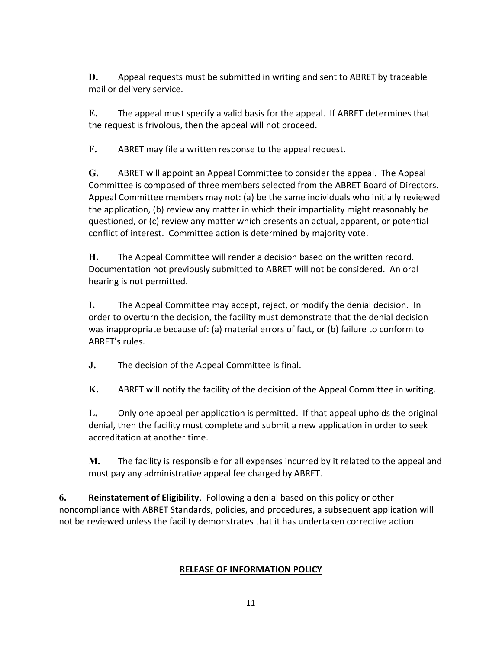**D.** Appeal requests must be submitted in writing and sent to ABRET by traceable mail or delivery service.

**E.** The appeal must specify a valid basis for the appeal. If ABRET determines that the request is frivolous, then the appeal will not proceed.

**F.** ABRET may file a written response to the appeal request.

**G.** ABRET will appoint an Appeal Committee to consider the appeal. The Appeal Committee is composed of three members selected from the ABRET Board of Directors. Appeal Committee members may not: (a) be the same individuals who initially reviewed the application, (b) review any matter in which their impartiality might reasonably be questioned, or (c) review any matter which presents an actual, apparent, or potential conflict of interest. Committee action is determined by majority vote.

**H.** The Appeal Committee will render a decision based on the written record. Documentation not previously submitted to ABRET will not be considered. An oral hearing is not permitted.

**I.** The Appeal Committee may accept, reject, or modify the denial decision. In order to overturn the decision, the facility must demonstrate that the denial decision was inappropriate because of: (a) material errors of fact, or (b) failure to conform to ABRET's rules.

**J.** The decision of the Appeal Committee is final.

**K.** ABRET will notify the facility of the decision of the Appeal Committee in writing.

**L.** Only one appeal per application is permitted. If that appeal upholds the original denial, then the facility must complete and submit a new application in order to seek accreditation at another time.

**M.** The facility is responsible for all expenses incurred by it related to the appeal and must pay any administrative appeal fee charged by ABRET.

**6. Reinstatement of Eligibility**. Following a denial based on this policy or other noncompliance with ABRET Standards, policies, and procedures, a subsequent application will not be reviewed unless the facility demonstrates that it has undertaken corrective action.

#### **RELEASE OF INFORMATION POLICY**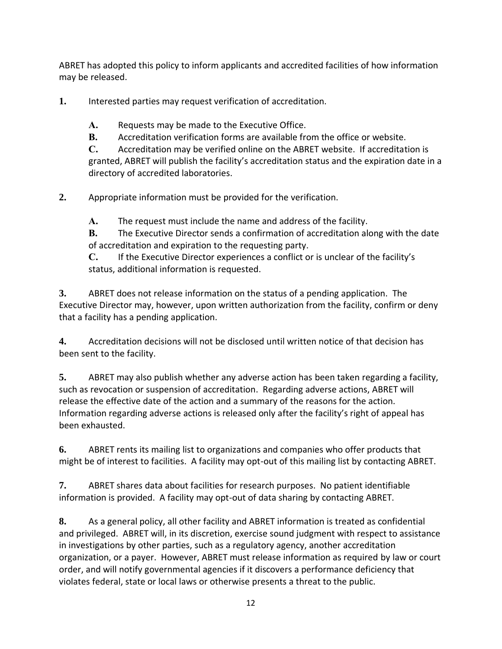ABRET has adopted this policy to inform applicants and accredited facilities of how information may be released.

**1.** Interested parties may request verification of accreditation.

**A.** Requests may be made to the Executive Office.

**B.** Accreditation verification forms are available from the office or website.

**C.** Accreditation may be verified online on the ABRET website. If accreditation is granted, ABRET will publish the facility's accreditation status and the expiration date in a directory of accredited laboratories.

**2.** Appropriate information must be provided for the verification.

**A.** The request must include the name and address of the facility.

**B.** The Executive Director sends a confirmation of accreditation along with the date of accreditation and expiration to the requesting party.

**C.** If the Executive Director experiences a conflict or is unclear of the facility's status, additional information is requested.

**3.** ABRET does not release information on the status of a pending application. The Executive Director may, however, upon written authorization from the facility, confirm or deny that a facility has a pending application.

**4.** Accreditation decisions will not be disclosed until written notice of that decision has been sent to the facility.

**5.** ABRET may also publish whether any adverse action has been taken regarding a facility, such as revocation or suspension of accreditation. Regarding adverse actions, ABRET will release the effective date of the action and a summary of the reasons for the action. Information regarding adverse actions is released only after the facility's right of appeal has been exhausted.

**6.** ABRET rents its mailing list to organizations and companies who offer products that might be of interest to facilities. A facility may opt-out of this mailing list by contacting ABRET.

**7.** ABRET shares data about facilities for research purposes. No patient identifiable information is provided. A facility may opt-out of data sharing by contacting ABRET.

**8.** As a general policy, all other facility and ABRET information is treated as confidential and privileged. ABRET will, in its discretion, exercise sound judgment with respect to assistance in investigations by other parties, such as a regulatory agency, another accreditation organization, or a payer. However, ABRET must release information as required by law or court order, and will notify governmental agencies if it discovers a performance deficiency that violates federal, state or local laws or otherwise presents a threat to the public.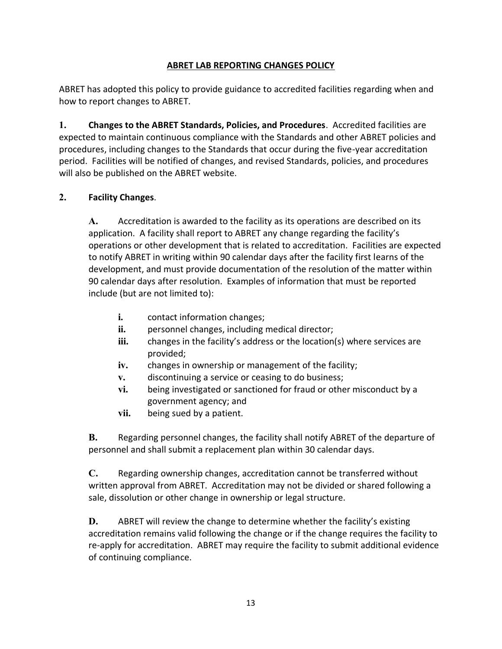#### **ABRET LAB REPORTING CHANGES POLICY**

ABRET has adopted this policy to provide guidance to accredited facilities regarding when and how to report changes to ABRET.

**1. Changes to the ABRET Standards, Policies, and Procedures**. Accredited facilities are expected to maintain continuous compliance with the Standards and other ABRET policies and procedures, including changes to the Standards that occur during the five-year accreditation period. Facilities will be notified of changes, and revised Standards, policies, and procedures will also be published on the ABRET website.

#### **2. Facility Changes**.

**A.** Accreditation is awarded to the facility as its operations are described on its application. A facility shall report to ABRET any change regarding the facility's operations or other development that is related to accreditation. Facilities are expected to notify ABRET in writing within 90 calendar days after the facility first learns of the development, and must provide documentation of the resolution of the matter within 90 calendar days after resolution. Examples of information that must be reported include (but are not limited to):

- **i.** contact information changes;
- **ii.** personnel changes, including medical director;
- **iii.** changes in the facility's address or the location(s) where services are provided;
- **iv.** changes in ownership or management of the facility;
- **v.** discontinuing a service or ceasing to do business;
- **vi.** being investigated or sanctioned for fraud or other misconduct by a government agency; and
- **vii.** being sued by a patient.

**B.** Regarding personnel changes, the facility shall notify ABRET of the departure of personnel and shall submit a replacement plan within 30 calendar days.

**C.** Regarding ownership changes, accreditation cannot be transferred without written approval from ABRET. Accreditation may not be divided or shared following a sale, dissolution or other change in ownership or legal structure.

**D.** ABRET will review the change to determine whether the facility's existing accreditation remains valid following the change or if the change requires the facility to re-apply for accreditation. ABRET may require the facility to submit additional evidence of continuing compliance.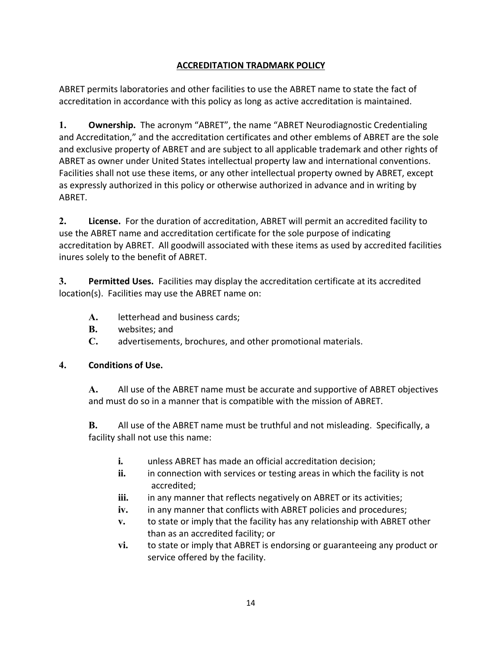### **ACCREDITATION TRADMARK POLICY**

ABRET permits laboratories and other facilities to use the ABRET name to state the fact of accreditation in accordance with this policy as long as active accreditation is maintained.

**1. Ownership.** The acronym "ABRET", the name "ABRET Neurodiagnostic Credentialing and Accreditation," and the accreditation certificates and other emblems of ABRET are the sole and exclusive property of ABRET and are subject to all applicable trademark and other rights of ABRET as owner under United States intellectual property law and international conventions. Facilities shall not use these items, or any other intellectual property owned by ABRET, except as expressly authorized in this policy or otherwise authorized in advance and in writing by ABRET.

**2. License.** For the duration of accreditation, ABRET will permit an accredited facility to use the ABRET name and accreditation certificate for the sole purpose of indicating accreditation by ABRET. All goodwill associated with these items as used by accredited facilities inures solely to the benefit of ABRET.

**3. Permitted Uses.** Facilities may display the accreditation certificate at its accredited location(s). Facilities may use the ABRET name on:

- **A.** letterhead and business cards;
- **B.** websites; and
- **C.** advertisements, brochures, and other promotional materials.

#### **4. Conditions of Use.**

**A.** All use of the ABRET name must be accurate and supportive of ABRET objectives and must do so in a manner that is compatible with the mission of ABRET.

**B.** All use of the ABRET name must be truthful and not misleading. Specifically, a facility shall not use this name:

- **i.** unless ABRET has made an official accreditation decision;
- **ii.** in connection with services or testing areas in which the facility is not accredited;
- **iii.** in any manner that reflects negatively on ABRET or its activities;
- **iv.** in any manner that conflicts with ABRET policies and procedures;
- **v.** to state or imply that the facility has any relationship with ABRET other than as an accredited facility; or
- **vi.** to state or imply that ABRET is endorsing or guaranteeing any product or service offered by the facility.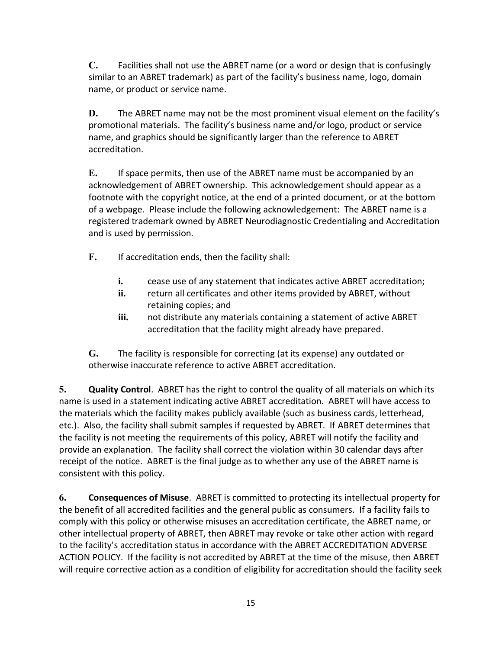**C.** Facilities shall not use the ABRET name (or a word or design that is confusingly similar to an ABRET trademark) as part of the facility's business name, logo, domain name, or product or service name.

**D.** The ABRET name may not be the most prominent visual element on the facility's promotional materials. The facility's business name and/or logo, product or service name, and graphics should be significantly larger than the reference to ABRET accreditation.

**E.** If space permits, then use of the ABRET name must be accompanied by an acknowledgement of ABRET ownership. This acknowledgement should appear as a footnote with the copyright notice, at the end of a printed document, or at the bottom of a webpage. Please include the following acknowledgement: The ABRET name is a registered trademark owned by ABRET Neurodiagnostic Credentialing and Accreditation and is used by permission.

- **F.** If accreditation ends, then the facility shall:
	- **i.** cease use of any statement that indicates active ABRET accreditation;
	- ii. return all certificates and other items provided by ABRET, without retaining copies; and
	- **iii.** not distribute any materials containing a statement of active ABRET accreditation that the facility might already have prepared.

**G.** The facility is responsible for correcting (at its expense) any outdated or otherwise inaccurate reference to active ABRET accreditation.

**5. Quality Control**. ABRET has the right to control the quality of all materials on which its name is used in a statement indicating active ABRET accreditation. ABRET will have access to the materials which the facility makes publicly available (such as business cards, letterhead, etc.). Also, the facility shall submit samples if requested by ABRET. If ABRET determines that the facility is not meeting the requirements of this policy, ABRET will notify the facility and provide an explanation. The facility shall correct the violation within 30 calendar days after receipt of the notice. ABRET is the final judge as to whether any use of the ABRET name is consistent with this policy.

**6. Consequences of Misuse**. ABRET is committed to protecting its intellectual property for the benefit of all accredited facilities and the general public as consumers. If a facility fails to comply with this policy or otherwise misuses an accreditation certificate, the ABRET name, or other intellectual property of ABRET, then ABRET may revoke or take other action with regard to the facility's accreditation status in accordance with the ABRET ACCREDITATION ADVERSE ACTION POLICY. If the facility is not accredited by ABRET at the time of the misuse, then ABRET will require corrective action as a condition of eligibility for accreditation should the facility seek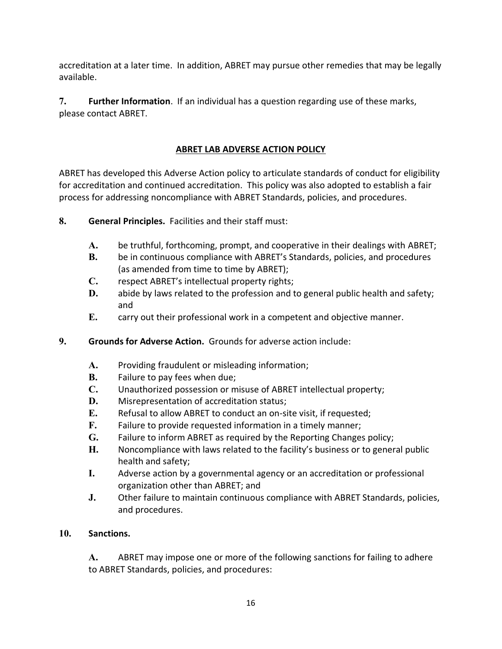accreditation at a later time. In addition, ABRET may pursue other remedies that may be legally available.

**7. Further Information**. If an individual has a question regarding use of these marks, please contact ABRET.

#### **ABRET LAB ADVERSE ACTION POLICY**

ABRET has developed this Adverse Action policy to articulate standards of conduct for eligibility for accreditation and continued accreditation. This policy was also adopted to establish a fair process for addressing noncompliance with ABRET Standards, policies, and procedures.

- **8. General Principles.** Facilities and their staff must:
	- **A.** be truthful, forthcoming, prompt, and cooperative in their dealings with ABRET;
	- **B.** be in continuous compliance with ABRET's Standards, policies, and procedures (as amended from time to time by ABRET);
	- **C.** respect ABRET's intellectual property rights;
	- **D.** abide by laws related to the profession and to general public health and safety; and
	- **E.** carry out their professional work in a competent and objective manner.
- **9. Grounds for Adverse Action.** Grounds for adverse action include:
	- **A.** Providing fraudulent or misleading information;
	- **B.** Failure to pay fees when due;
	- **C.** Unauthorized possession or misuse of ABRET intellectual property;
	- **D.** Misrepresentation of accreditation status;
	- **E.** Refusal to allow ABRET to conduct an on-site visit, if requested;
	- **F.** Failure to provide requested information in a timely manner;
	- **G.** Failure to inform ABRET as required by the Reporting Changes policy;
	- **H.** Noncompliance with laws related to the facility's business or to general public health and safety;
	- **I.** Adverse action by a governmental agency or an accreditation or professional organization other than ABRET; and
	- **J.** Other failure to maintain continuous compliance with ABRET Standards, policies, and procedures.

#### **10. Sanctions.**

**A.** ABRET may impose one or more of the following sanctions for failing to adhere to ABRET Standards, policies, and procedures: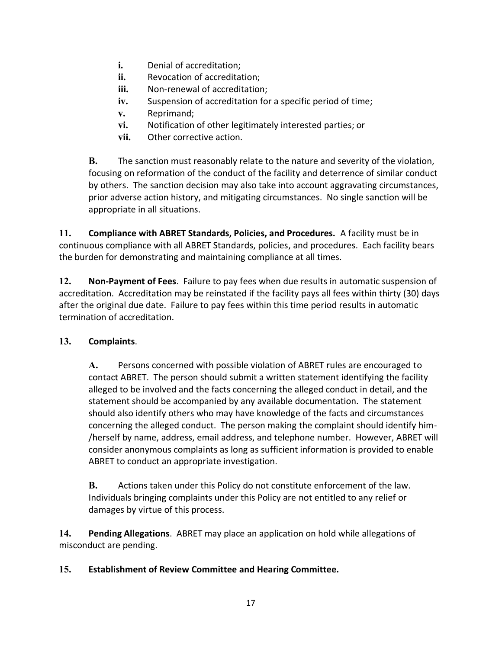- **i.** Denial of accreditation;
- **ii.** Revocation of accreditation;
- **iii.** Non-renewal of accreditation;
- **iv.** Suspension of accreditation for a specific period of time;
- **v.** Reprimand;
- **vi.** Notification of other legitimately interested parties; or
- **vii.** Other corrective action.

**B.** The sanction must reasonably relate to the nature and severity of the violation, focusing on reformation of the conduct of the facility and deterrence of similar conduct by others. The sanction decision may also take into account aggravating circumstances, prior adverse action history, and mitigating circumstances. No single sanction will be appropriate in all situations.

**11. Compliance with ABRET Standards, Policies, and Procedures.** A facility must be in continuous compliance with all ABRET Standards, policies, and procedures. Each facility bears the burden for demonstrating and maintaining compliance at all times.

**12. Non-Payment of Fees**. Failure to pay fees when due results in automatic suspension of accreditation. Accreditation may be reinstated if the facility pays all fees within thirty (30) days after the original due date. Failure to pay fees within this time period results in automatic termination of accreditation.

### **13. Complaints**.

**A.** Persons concerned with possible violation of ABRET rules are encouraged to contact ABRET. The person should submit a written statement identifying the facility alleged to be involved and the facts concerning the alleged conduct in detail, and the statement should be accompanied by any available documentation. The statement should also identify others who may have knowledge of the facts and circumstances concerning the alleged conduct. The person making the complaint should identify him- /herself by name, address, email address, and telephone number. However, ABRET will consider anonymous complaints as long as sufficient information is provided to enable ABRET to conduct an appropriate investigation.

**B.** Actions taken under this Policy do not constitute enforcement of the law. Individuals bringing complaints under this Policy are not entitled to any relief or damages by virtue of this process.

**14. Pending Allegations**. ABRET may place an application on hold while allegations of misconduct are pending.

### **15. Establishment of Review Committee and Hearing Committee.**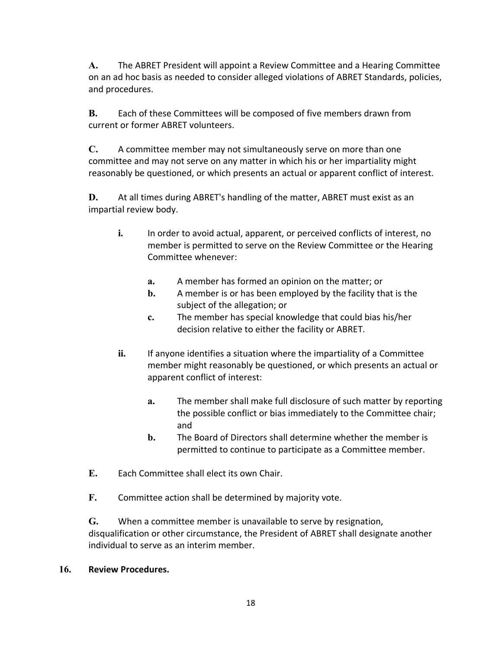**A.** The ABRET President will appoint a Review Committee and a Hearing Committee on an ad hoc basis as needed to consider alleged violations of ABRET Standards, policies, and procedures.

**B.** Each of these Committees will be composed of five members drawn from current or former ABRET volunteers.

**C.** A committee member may not simultaneously serve on more than one committee and may not serve on any matter in which his or her impartiality might reasonably be questioned, or which presents an actual or apparent conflict of interest.

**D.** At all times during ABRET's handling of the matter, ABRET must exist as an impartial review body.

- **i.** In order to avoid actual, apparent, or perceived conflicts of interest, no member is permitted to serve on the Review Committee or the Hearing Committee whenever:
	- **a.** A member has formed an opinion on the matter; or
	- **b.** A member is or has been employed by the facility that is the subject of the allegation; or
	- **c.** The member has special knowledge that could bias his/her decision relative to either the facility or ABRET.
- ii. If anyone identifies a situation where the impartiality of a Committee member might reasonably be questioned, or which presents an actual or apparent conflict of interest:
	- **a.** The member shall make full disclosure of such matter by reporting the possible conflict or bias immediately to the Committee chair; and
	- **b.** The Board of Directors shall determine whether the member is permitted to continue to participate as a Committee member.
- **E.** Each Committee shall elect its own Chair.
- **F.** Committee action shall be determined by majority vote.

**G.** When a committee member is unavailable to serve by resignation, disqualification or other circumstance, the President of ABRET shall designate another individual to serve as an interim member.

#### **16. Review Procedures.**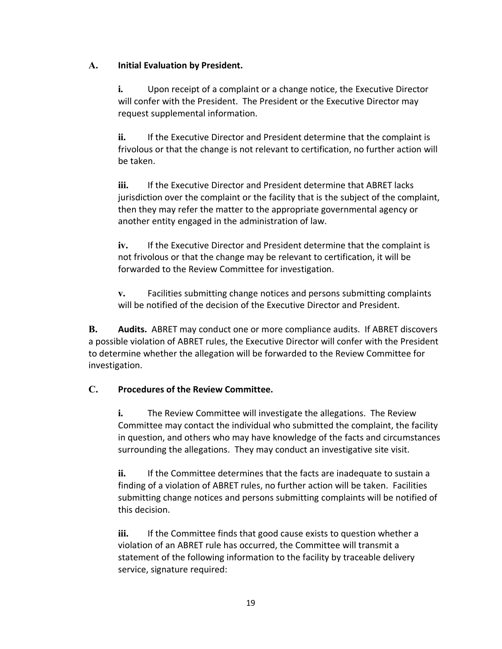#### **A. Initial Evaluation by President.**

**i.** Upon receipt of a complaint or a change notice, the Executive Director will confer with the President. The President or the Executive Director may request supplemental information.

**ii.** If the Executive Director and President determine that the complaint is frivolous or that the change is not relevant to certification, no further action will be taken.

**iii.** If the Executive Director and President determine that ABRET lacks jurisdiction over the complaint or the facility that is the subject of the complaint, then they may refer the matter to the appropriate governmental agency or another entity engaged in the administration of law.

**iv.** If the Executive Director and President determine that the complaint is not frivolous or that the change may be relevant to certification, it will be forwarded to the Review Committee for investigation.

**v.** Facilities submitting change notices and persons submitting complaints will be notified of the decision of the Executive Director and President.

**B. Audits.** ABRET may conduct one or more compliance audits. If ABRET discovers a possible violation of ABRET rules, the Executive Director will confer with the President to determine whether the allegation will be forwarded to the Review Committee for investigation.

### **C. Procedures of the Review Committee.**

**i.** The Review Committee will investigate the allegations. The Review Committee may contact the individual who submitted the complaint, the facility in question, and others who may have knowledge of the facts and circumstances surrounding the allegations. They may conduct an investigative site visit.

**ii.** If the Committee determines that the facts are inadequate to sustain a finding of a violation of ABRET rules, no further action will be taken. Facilities submitting change notices and persons submitting complaints will be notified of this decision.

**iii.** If the Committee finds that good cause exists to question whether a violation of an ABRET rule has occurred, the Committee will transmit a statement of the following information to the facility by traceable delivery service, signature required: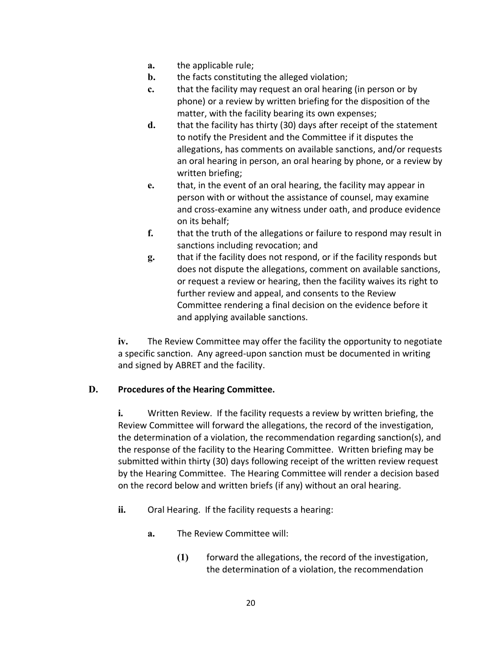- **a.** the applicable rule;
- **b.** the facts constituting the alleged violation;
- **c.** that the facility may request an oral hearing (in person or by phone) or a review by written briefing for the disposition of the matter, with the facility bearing its own expenses;
- **d.** that the facility has thirty (30) days after receipt of the statement to notify the President and the Committee if it disputes the allegations, has comments on available sanctions, and/or requests an oral hearing in person, an oral hearing by phone, or a review by written briefing;
- **e.** that, in the event of an oral hearing, the facility may appear in person with or without the assistance of counsel, may examine and cross-examine any witness under oath, and produce evidence on its behalf;
- **f.** that the truth of the allegations or failure to respond may result in sanctions including revocation; and
- **g.** that if the facility does not respond, or if the facility responds but does not dispute the allegations, comment on available sanctions, or request a review or hearing, then the facility waives its right to further review and appeal, and consents to the Review Committee rendering a final decision on the evidence before it and applying available sanctions.

**iv.** The Review Committee may offer the facility the opportunity to negotiate a specific sanction. Any agreed-upon sanction must be documented in writing and signed by ABRET and the facility.

### **D. Procedures of the Hearing Committee.**

**i.** Written Review. If the facility requests a review by written briefing, the Review Committee will forward the allegations, the record of the investigation, the determination of a violation, the recommendation regarding sanction(s), and the response of the facility to the Hearing Committee. Written briefing may be submitted within thirty (30) days following receipt of the written review request by the Hearing Committee. The Hearing Committee will render a decision based on the record below and written briefs (if any) without an oral hearing.

- **ii.** Oral Hearing. If the facility requests a hearing:
	- **a.** The Review Committee will:
		- **(1)** forward the allegations, the record of the investigation, the determination of a violation, the recommendation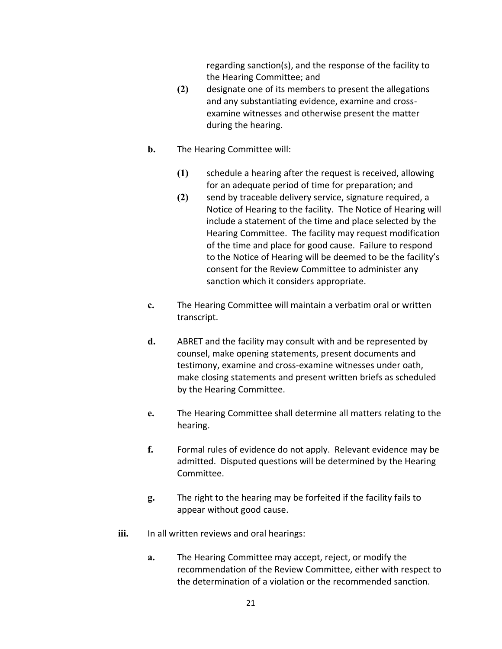regarding sanction(s), and the response of the facility to the Hearing Committee; and

- **(2)** designate one of its members to present the allegations and any substantiating evidence, examine and crossexamine witnesses and otherwise present the matter during the hearing.
- **b.** The Hearing Committee will:
	- **(1)** schedule a hearing after the request is received, allowing for an adequate period of time for preparation; and
	- **(2)** send by traceable delivery service, signature required, a Notice of Hearing to the facility. The Notice of Hearing will include a statement of the time and place selected by the Hearing Committee. The facility may request modification of the time and place for good cause. Failure to respond to the Notice of Hearing will be deemed to be the facility's consent for the Review Committee to administer any sanction which it considers appropriate.
- **c.** The Hearing Committee will maintain a verbatim oral or written transcript.
- **d.** ABRET and the facility may consult with and be represented by counsel, make opening statements, present documents and testimony, examine and cross-examine witnesses under oath, make closing statements and present written briefs as scheduled by the Hearing Committee.
- **e.** The Hearing Committee shall determine all matters relating to the hearing.
- **f.** Formal rules of evidence do not apply. Relevant evidence may be admitted. Disputed questions will be determined by the Hearing Committee.
- **g.** The right to the hearing may be forfeited if the facility fails to appear without good cause.
- iii. In all written reviews and oral hearings:
	- **a.** The Hearing Committee may accept, reject, or modify the recommendation of the Review Committee, either with respect to the determination of a violation or the recommended sanction.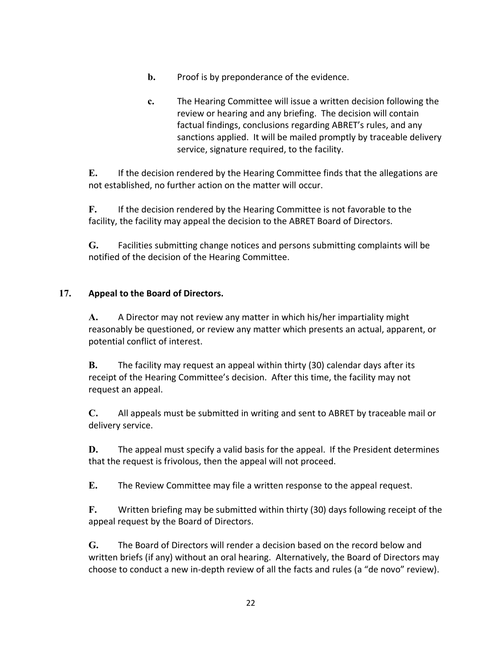- **b.** Proof is by preponderance of the evidence.
- **c.** The Hearing Committee will issue a written decision following the review or hearing and any briefing. The decision will contain factual findings, conclusions regarding ABRET's rules, and any sanctions applied. It will be mailed promptly by traceable delivery service, signature required, to the facility.

**E.** If the decision rendered by the Hearing Committee finds that the allegations are not established, no further action on the matter will occur.

**F.** If the decision rendered by the Hearing Committee is not favorable to the facility, the facility may appeal the decision to the ABRET Board of Directors.

**G.** Facilities submitting change notices and persons submitting complaints will be notified of the decision of the Hearing Committee.

#### **17. Appeal to the Board of Directors.**

**A.** A Director may not review any matter in which his/her impartiality might reasonably be questioned, or review any matter which presents an actual, apparent, or potential conflict of interest.

**B.** The facility may request an appeal within thirty (30) calendar days after its receipt of the Hearing Committee's decision. After this time, the facility may not request an appeal.

**C.** All appeals must be submitted in writing and sent to ABRET by traceable mail or delivery service.

**D.** The appeal must specify a valid basis for the appeal. If the President determines that the request is frivolous, then the appeal will not proceed.

**E.** The Review Committee may file a written response to the appeal request.

**F.** Written briefing may be submitted within thirty (30) days following receipt of the appeal request by the Board of Directors.

**G.** The Board of Directors will render a decision based on the record below and written briefs (if any) without an oral hearing. Alternatively, the Board of Directors may choose to conduct a new in-depth review of all the facts and rules (a "de novo" review).